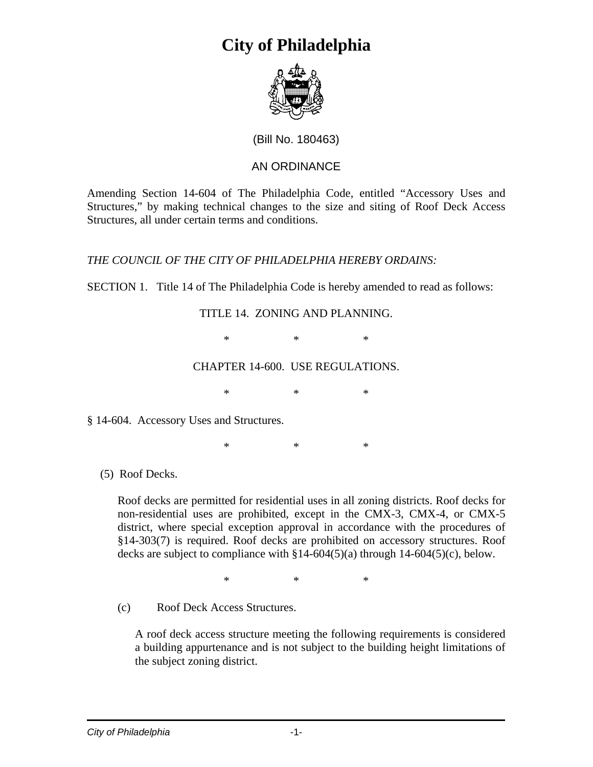

### (Bill No. 180463)

### AN ORDINANCE

Amending Section 14-604 of The Philadelphia Code, entitled "Accessory Uses and Structures," by making technical changes to the size and siting of Roof Deck Access Structures, all under certain terms and conditions.

### *THE COUNCIL OF THE CITY OF PHILADELPHIA HEREBY ORDAINS:*

SECTION 1. Title 14 of The Philadelphia Code is hereby amended to read as follows:

TITLE 14. ZONING AND PLANNING.

\* \* \*

### CHAPTER 14-600. USE REGULATIONS.

\* \* \*

§ 14-604. Accessory Uses and Structures.

 $*$   $*$   $*$ 

(5) Roof Decks.

Roof decks are permitted for residential uses in all zoning districts. Roof decks for non-residential uses are prohibited, except in the CMX-3, CMX-4, or CMX-5 district, where special exception approval in accordance with the procedures of §14-303(7) is required. Roof decks are prohibited on accessory structures. Roof decks are subject to compliance with  $$14-604(5)(a)$  through  $14-604(5)(c)$ , below.

 $*$   $*$   $*$ 

(c) Roof Deck Access Structures.

A roof deck access structure meeting the following requirements is considered a building appurtenance and is not subject to the building height limitations of the subject zoning district.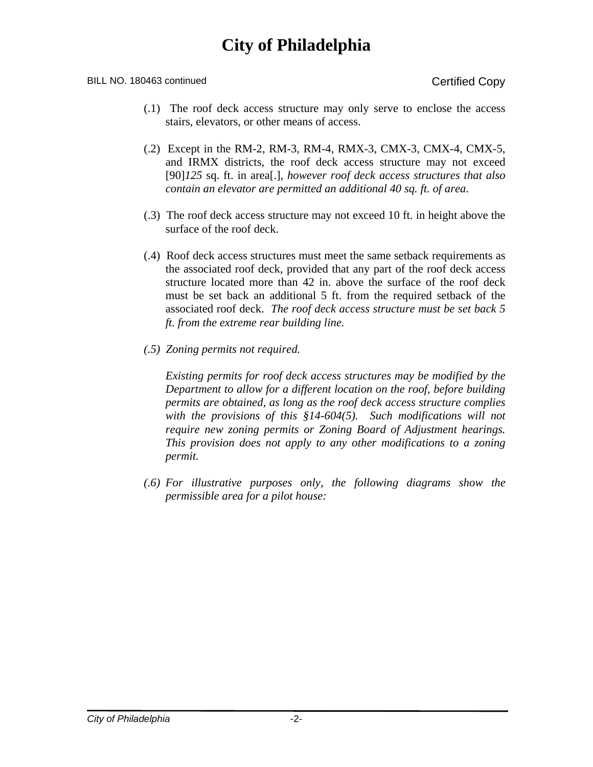#### BILL NO. 180463 continued Copy

- (.1) The roof deck access structure may only serve to enclose the access stairs, elevators, or other means of access.
- (.2) Except in the RM-2, RM-3, RM-4, RMX-3, CMX-3, CMX-4, CMX-5, and IRMX districts, the roof deck access structure may not exceed [90]*125* sq. ft. in area[.]*, however roof deck access structures that also contain an elevator are permitted an additional 40 sq. ft. of area*.
- (.3) The roof deck access structure may not exceed 10 ft. in height above the surface of the roof deck.
- (.4) Roof deck access structures must meet the same setback requirements as the associated roof deck, provided that any part of the roof deck access structure located more than 42 in. above the surface of the roof deck must be set back an additional 5 ft. from the required setback of the associated roof deck. *The roof deck access structure must be set back 5 ft. from the extreme rear building line.*
- *(.5) Zoning permits not required.*

*Existing permits for roof deck access structures may be modified by the Department to allow for a different location on the roof, before building permits are obtained, as long as the roof deck access structure complies with the provisions of this §14-604(5). Such modifications will not require new zoning permits or Zoning Board of Adjustment hearings. This provision does not apply to any other modifications to a zoning permit.* 

*(.6) For illustrative purposes only, the following diagrams show the permissible area for a pilot house:*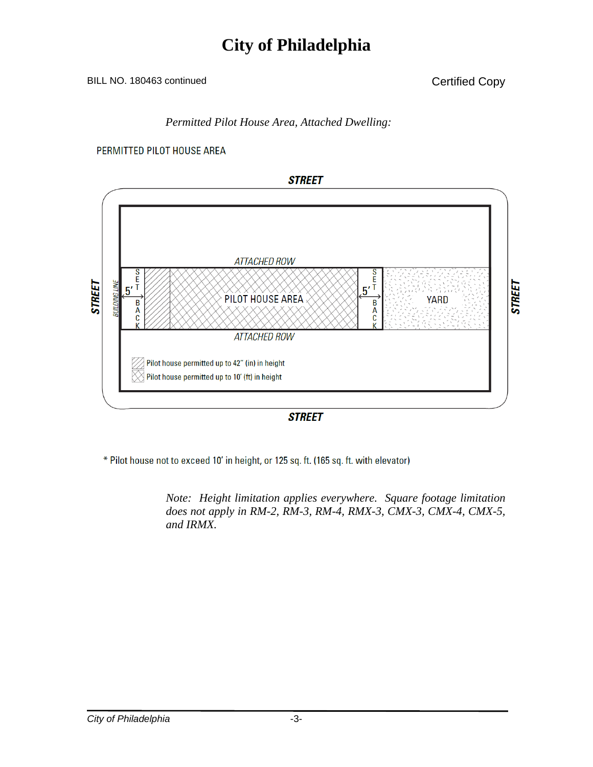### BILL NO. 180463 continued Certified Copy

*Permitted Pilot House Area, Attached Dwelling:* 

#### PERMITTED PILOT HOUSE AREA



**STREET** 

\* Pilot house not to exceed 10' in height, or 125 sq. ft. (165 sq. ft. with elevator)

*Note: Height limitation applies everywhere. Square footage limitation does not apply in RM-2, RM-3, RM-4, RMX-3, CMX-3, CMX-4, CMX-5, and IRMX.*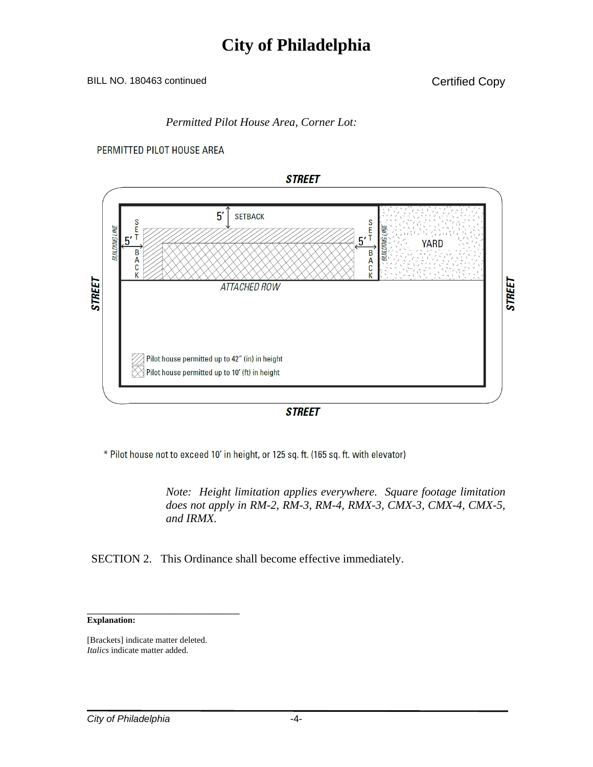#### BILL NO. 180463 continued Certified Copy

#### *Permitted Pilot House Area, Corner Lot:*

#### PERMITTED PILOT HOUSE AREA



**STREET** 

\* Pilot house not to exceed 10' in height, or 125 sq. ft. (165 sq. ft. with elevator)

*Note: Height limitation applies everywhere. Square footage limitation does not apply in RM-2, RM-3, RM-4, RMX-3, CMX-3, CMX-4, CMX-5, and IRMX.* 

SECTION 2. This Ordinance shall become effective immediately.

#### **Explanation:**

[Brackets] indicate matter deleted. *Italics* indicate matter added.

**\_\_\_\_\_\_\_\_\_\_\_\_\_\_\_\_\_\_\_\_\_\_\_\_\_\_\_\_\_\_\_\_\_\_\_**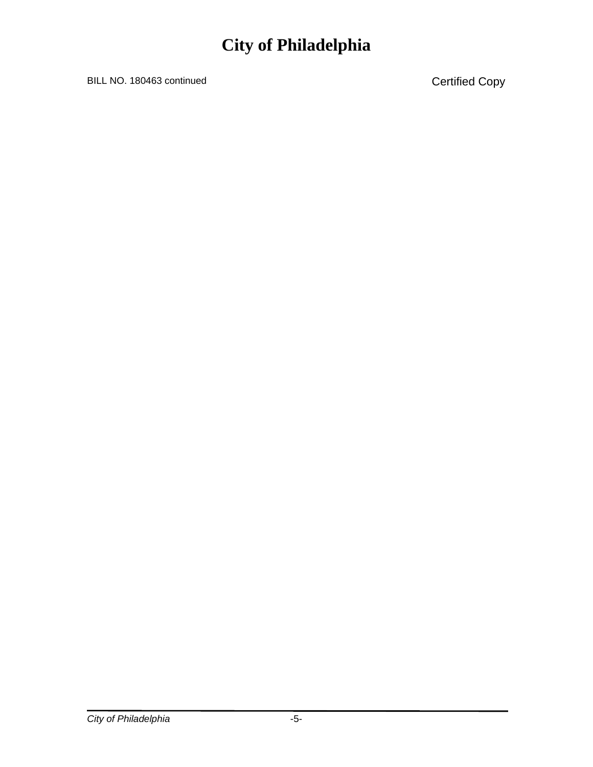BILL NO. 180463 continued Certified Copy